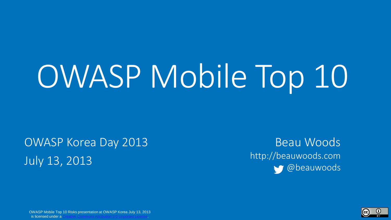# OWASP Mobile Top 10

OWASP Korea Day 2013 July 13, 2013

Beau Woods http://beauwoods.com @beauwoods

OWASP Mobile Top 10 Risks presentation at OWASP Korea July 13, 2013 is licensed under a.

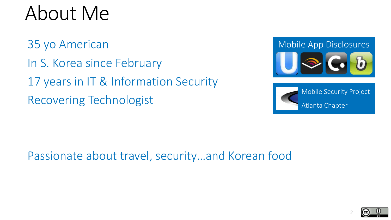### About Me

35 yo American In S. Korea since February 17 years in IT & Information Security Recovering Technologist

Mobile App Disclosures



Mobile Security Project Atlanta Chapter

Passionate about travel, security…and Korean food



2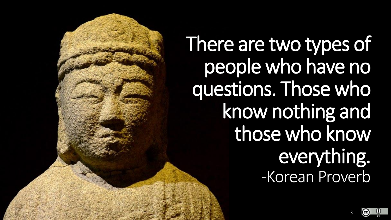There are two types of people who have no questions. Those who know nothing and those who know everything. -Korean Proverb

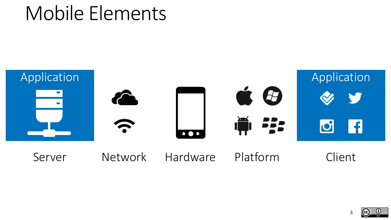### Mobile Elements



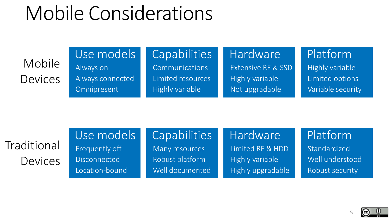### Mobile Considerations

Mobile **Devices** 

#### Use models **Capabilities**

Communications Limited resources Highly variable

Hardware Extensive RF & SSD Highly variable Not upgradable

Platform Highly variable Limited options Variable security

Traditional **Devices**  Use models Frequently off **Disconnected** 

Location-bound

Always on

**Omnipresent** 

Always connected

**Capabilities** 

Many resources Robust platform Well documented Hardware Limited RF & HDD Highly variable Highly upgradable Platform

Standardized Well understood Robust security



5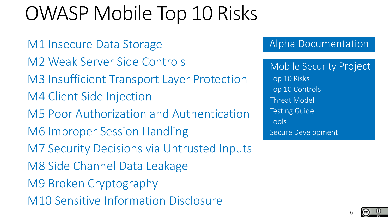### OWASP Mobile Top 10 Risks

M1 Insecure Data Storage M2 Weak Server Side Controls M3 Insufficient Transport Layer Protection M4 Client Side Injection M5 Poor Authorization and Authentication M6 Improper Session Handling M7 Security Decisions via Untrusted Inputs M8 Side Channel Data Leakage M9 Broken Cryptography M10 Sensitive Information Disclosure

#### Alpha Documentation

Mobile Security Project Top 10 Risks Top 10 Controls Threat Model Testing Guide Tools Secure Development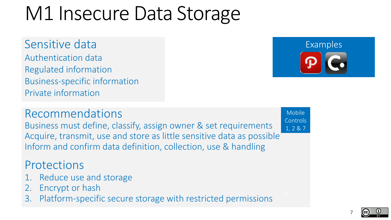### M1 Insecure Data Storage

Sensitive data Authentication data Regulated information Business-specific information Private information



#### Recommendations

Business must define, classify, assign owner & set requirements Acquire, transmit, use and store as little sensitive data as possible Inform and confirm data definition, collection, use & handling

#### **Protections**

- 1. Reduce use and storage
- 2. Encrypt or hash
- 3. Platform-specific secure storage with restricted permissions

Mobile **Controls** 1, 2 & 7

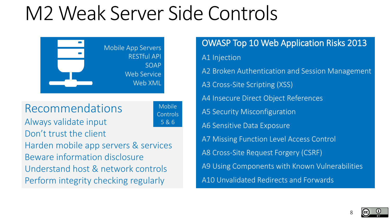### M2 Weak Server Side Controls



Recommendations

Mobile **Controls** 5 & 6

Always validate input Don't trust the client Harden mobile app servers & services Beware information disclosure Understand host & network controls Perform integrity checking regularly

OWASP Top 10 Web Application Risks 2013 A1 Injection A2 Broken Authentication and Session Management A3 Cross-Site Scripting (XSS) A4 Insecure Direct Object References A5 Security Misconfiguration A6 Sensitive Data Exposure A7 Missing Function Level Access Control A8 Cross-Site Request Forgery (CSRF) A9 Using Components with Known Vulnerabilities A10 Unvalidated Redirects and Forwards

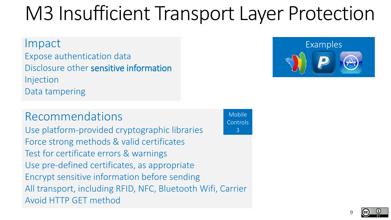## M3 Insufficient Transport Layer Protection

Expose authentication data Disclosure other sensitive information Injection Data tampering

#### Recommendations

Use platform-provided cryptographic libraries Force strong methods & valid certificates Test for certificate errors & warnings Use pre-defined certificates, as appropriate Encrypt sensitive information before sending All transport, including RFID, NFC, Bluetooth Wifi, Carrier Avoid HTTP GET method

Mobile Controls 3



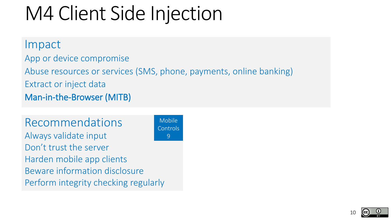### M4 Client Side Injection

#### Impact

App or device compromise

Abuse resources or services (SMS, phone, payments, online banking) Extract or inject data Man-in-the-Browser (MITB)

Recommendations Always validate input Don't trust the server Harden mobile app clients Beware information disclosure Perform integrity checking regularly

Mobile **Controls** 9

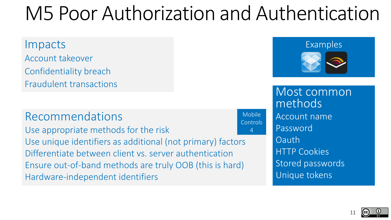### M5 Poor Authorization and Authentication

#### Impacts Examples Account takeover Confidentiality breach Fraudulent transactions

#### Recommendations

Use appropriate methods for the risk Use unique identifiers as additional (not primary) factors Differentiate between client vs. server authentication Ensure out-of-band methods are truly OOB (this is hard) Hardware-independent identifiers



Most common methods Account name Password Oauth HTTP Cookies Stored passwords Unique tokens

Mobile **Controls** 4

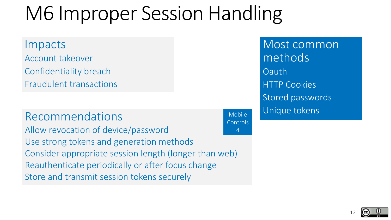### M6 Improper Session Handling

Impacts Account takeover Confidentiality breach Fraudulent transactions

#### Recommendations

Allow revocation of device/password Use strong tokens and generation methods Consider appropriate session length (longer than web) Reauthenticate periodically or after focus change Store and transmit session tokens securely Controls Most common methods Oauth HTTP Cookies Stored passwords Unique tokens

Mobile

4

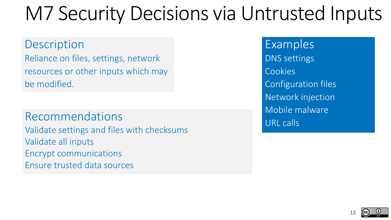### M7 Security Decisions via Untrusted Inputs

**Description** Reliance on files, settings, network resources or other inputs which may be modified.

Recommendations Validate settings and files with checksums Validate all inputs Encrypt communications Ensure trusted data sources

Examples DNS settings **Cookies** Configuration files Network injection Mobile malware URL calls

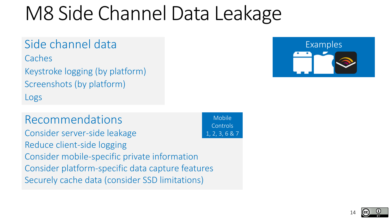### M8 Side Channel Data Leakage

#### Side channel data

**Caches** 

Keystroke logging (by platform) Screenshots (by platform) Logs

Recommendations Consider server-side leakage Reduce client-side logging Consider mobile-specific private information Consider platform-specific data capture features Securely cache data (consider SSD limitations)

Mobile Controls 1, 2, 3, 6 & 7



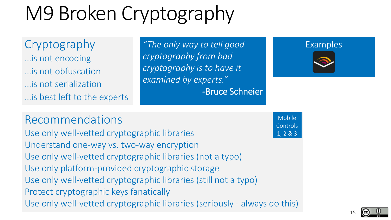## M9 Broken Cryptography

…is not encoding …is not obfuscation …is not serialization …is best left to the experts

Cryptography "The only way to tell good Examples *cryptography from bad cryptography is to have it examined by experts."* -Bruce Schneier



Recommendations

Use only well-vetted cryptographic libraries Understand one-way vs. two-way encryption Use only well-vetted cryptographic libraries (not a typo) Use only platform-provided cryptographic storage Use only well-vetted cryptographic libraries (still not a typo) Protect cryptographic keys fanatically Use only well-vetted cryptographic libraries (seriously - always do this)

Mobile Controls 1, 2 & 3



15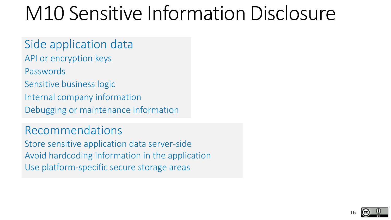### M10 Sensitive Information Disclosure

### Side application data

- API or encryption keys
- Passwords
- Sensitive business logic
- Internal company information
- Debugging or maintenance information

#### Recommendations

Store sensitive application data server-side Avoid hardcoding information in the application Use platform-specific secure storage areas

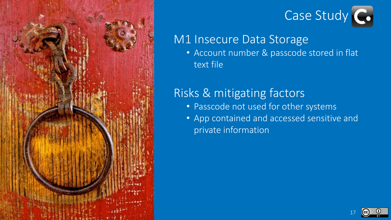



#### M1 Insecure Data Storage

• Account number & passcode stored in flat text file

#### Risks & mitigating factors

- Passcode not used for other systems
- App contained and accessed sensitive and private information

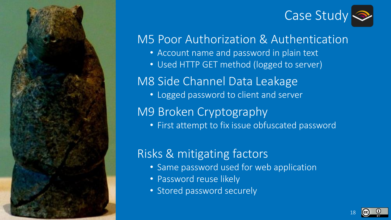

## Case Study

#### M5 Poor Authorization & Authentication

- Account name and password in plain text
- Used HTTP GET method (logged to server)

M8 Side Channel Data Leakage

• Logged password to client and server

M9 Broken Cryptography

• First attempt to fix issue obfuscated password

### Risks & mitigating factors

- Same password used for web application
- Password reuse likely
- Stored password securely

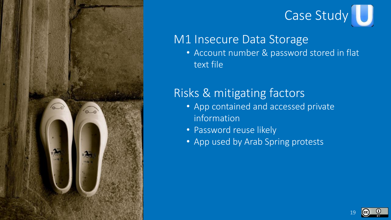



### M1 Insecure Data Storage

• Account number & password stored in flat text file

### Risks & mitigating factors

- App contained and accessed private information
- Password reuse likely
- App used by Arab Spring protests

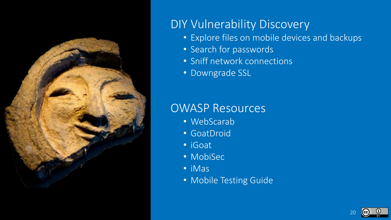

#### DIY Vulnerability Discovery

- Explore files on mobile devices and backups
- Search for passwords
- Sniff network connections
- Downgrade SSL

#### OWASP Resources

- WebScarab
- GoatDroid
- iGoat
- MobiSec
- iMas
- Mobile Testing Guide